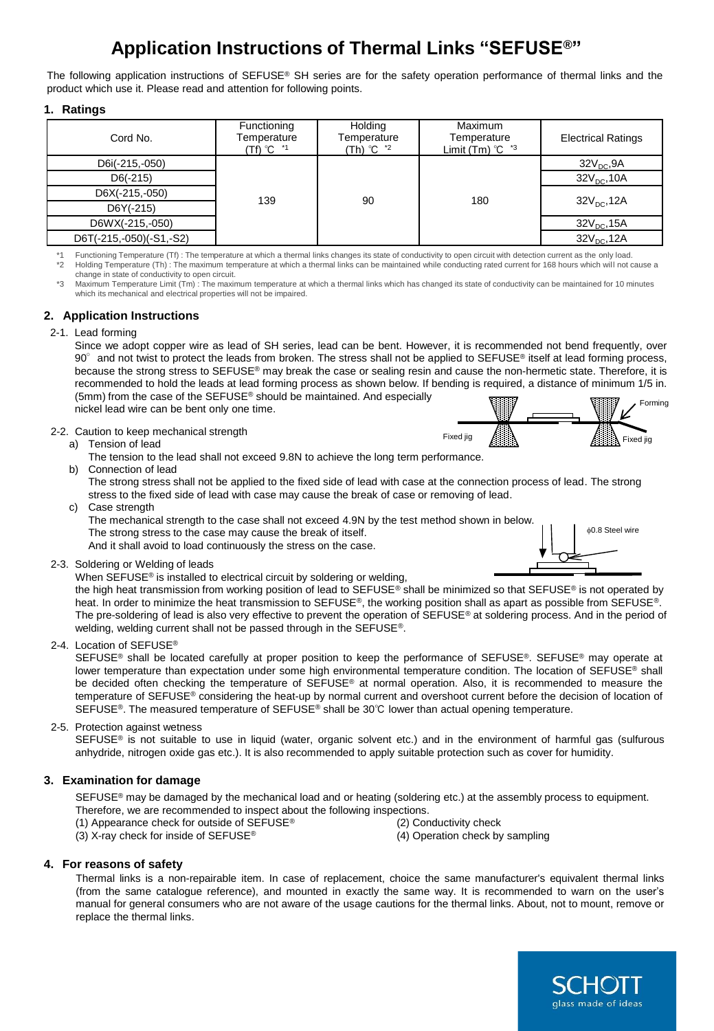# **Application Instructions of Thermal Links "SEFUSE®"**

The following application instructions of  $SEFUSE^{\circ}$  SH series are for the safety operation performance of thermal links and the product which use it. Please read and attention for following points.

**1. Ratings**

| Cord No.                | Functioning<br>Temperature<br>$(Tf)$ $^{\circ}$ C $^{\star}$ 1 | Holding<br>Temperature<br>(Th) ℃ <sup>*2</sup> | Maximum<br>Temperature<br>Limit (Tm) $°C$ $*3$ | <b>Electrical Ratings</b> |
|-------------------------|----------------------------------------------------------------|------------------------------------------------|------------------------------------------------|---------------------------|
| D6i(-215,-050)          | 139                                                            | 90                                             | 180                                            | 32V <sub>DC</sub> , 9A    |
| $D6(-215)$              |                                                                |                                                |                                                | $32V_{DC}$ , 10A          |
| D6X(-215,-050)          |                                                                |                                                |                                                | $32V_{\text{DC}}$ , 12A   |
| $D6Y(-215)$             |                                                                |                                                |                                                |                           |
| D6WX(-215,-050)         |                                                                |                                                |                                                | $32VDC$ , 15A             |
| D6T(-215,-050)(-S1,-S2) |                                                                |                                                |                                                | $32V_{DC}$ , 12A          |

\*1 Functioning Temperature (Tf) : The temperature at which a thermal links changes its state of conductivity to open circuit with detection current as the only load.<br>\*2 Holding Temperature (Th) : The maximum temperature at change in state of conductivity to open circuit.

\*3 Maximum Temperature Limit (Tm) : The maximum temperature at which a thermal links which has changed its state of conductivity can be maintained for 10 minutes which its mechanical and electrical properties will not be impaired.

# **2. Application Instructions**

### 2-1. Lead forming

Since we adopt copper wire as lead of SH series, lead can be bent. However, it is recommended not bend frequently, over  $90^\circ$  and not twist to protect the leads from broken. The stress shall not be applied to SEFUSE<sup>®</sup> itself at lead forming process, because the strong stress to SEFUSE® may break the case or sealing resin and cause the non-hermetic state. Therefore, it is recommended to hold the leads at lead forming process as shown below. If bending is required, a distance of minimum 1/5 in. (5mm) from the case of the SEFUSE® should be maintained. And especially nickel lead wire can be bent only one time. Forming

2-2. Caution to keep mechanical strength



The strong stress shall not be applied to the fixed side of lead with case at the connection process of lead. The strong stress to the fixed side of lead with case may cause the break of case or removing of lead.

c) Case strength

The mechanical strength to the case shall not exceed 4.9N by the test method shown in below. The strong stress to the case may cause the break of itself. And it shall avoid to load continuously the stress on the case.

2-3. Soldering or Welding of leads

When SEFUSE<sup>®</sup> is installed to electrical circuit by soldering or welding,

the high heat transmission from working position of lead to SEFUSE® shall be minimized so that SEFUSE® is not operated by heat. In order to minimize the heat transmission to SEFUSE®, the working position shall as apart as possible from SEFUSE®. The pre-soldering of lead is also very effective to prevent the operation of SEFUSE® at soldering process. And in the period of welding, welding current shall not be passed through in the SEFUSE®.

2-4. Location of SEFUSE®

SEFUSE<sup>®</sup> shall be located carefully at proper position to keep the performance of SEFUSE®. SEFUSE® may operate at lower temperature than expectation under some high environmental temperature condition. The location of SEFUSE® shall be decided often checking the temperature of SEFUSE® at normal operation. Also, it is recommended to measure the temperature of SEFUSE® considering the heat-up by normal current and overshoot current before the decision of location of SEFUSE®. The measured temperature of SEFUSE® shall be 30℃ lower than actual opening temperature.

# 2-5. Protection against wetness

SEFUSE<sup>®</sup> is not suitable to use in liquid (water, organic solvent etc.) and in the environment of harmful gas (sulfurous anhydride, nitrogen oxide gas etc.). It is also recommended to apply suitable protection such as cover for humidity.

# **3. Examination for damage**

SEFUSE<sup>®</sup> may be damaged by the mechanical load and or heating (soldering etc.) at the assembly process to equipment. Therefore, we are recommended to inspect about the following inspections.

- (1) Appearance check for outside of SEFUSE® (2) Conductivity check
- (3) X-ray check for inside of SEFUSE® (4) Operation check by sampling
- -

# **4. For reasons of safety**

Thermal links is a non-repairable item. In case of replacement, choice the same manufacturer's equivalent thermal links (from the same catalogue reference), and mounted in exactly the same way. It is recommended to warn on the user's manual for general consumers who are not aware of the usage cautions for the thermal links. About, not to mount, remove or replace the thermal links.



0.8 Steel wire